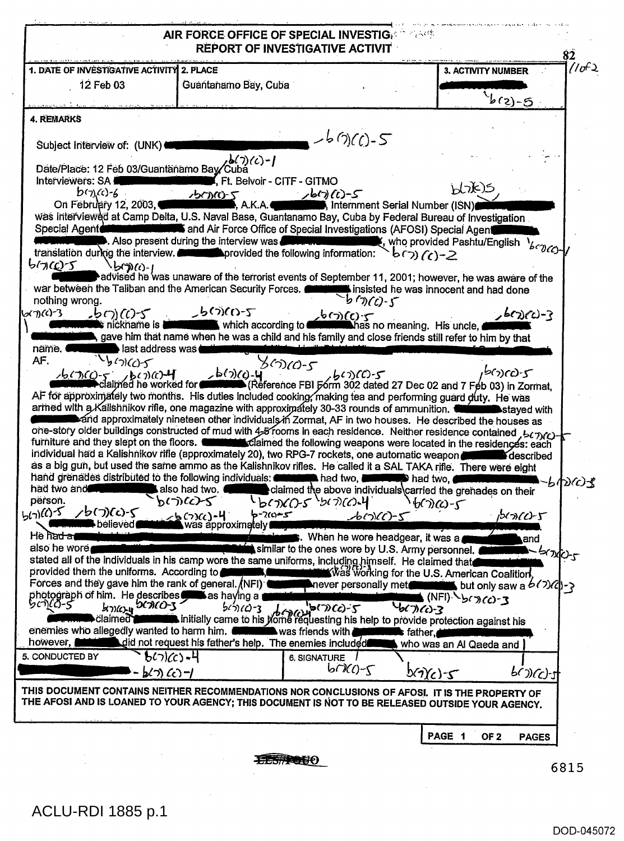|                                                                                                                                                                                                                                                                                                                                                       |                                                                                                                                                                                                                                                                                                                          | REPORT OF INVESTIGATIVE ACTIVIT                                                                             | AIR FORCE OFFICE OF SPECIAL INVESTIGATION             |                                 | 82           |
|-------------------------------------------------------------------------------------------------------------------------------------------------------------------------------------------------------------------------------------------------------------------------------------------------------------------------------------------------------|--------------------------------------------------------------------------------------------------------------------------------------------------------------------------------------------------------------------------------------------------------------------------------------------------------------------------|-------------------------------------------------------------------------------------------------------------|-------------------------------------------------------|---------------------------------|--------------|
| 1. DATE OF INVESTIGATIVE ACTIVITY 2. PLACE                                                                                                                                                                                                                                                                                                            |                                                                                                                                                                                                                                                                                                                          |                                                                                                             |                                                       | <b>3. ACTIVITY NUMBER</b>       | <i>(انا)</i> |
| 12 Feb 03                                                                                                                                                                                                                                                                                                                                             | Guantanamo Bay, Cuba                                                                                                                                                                                                                                                                                                     |                                                                                                             |                                                       | $\int_C f(z) \, dy$             |              |
| <b>4. REMARKS</b>                                                                                                                                                                                                                                                                                                                                     |                                                                                                                                                                                                                                                                                                                          |                                                                                                             |                                                       |                                 |              |
|                                                                                                                                                                                                                                                                                                                                                       |                                                                                                                                                                                                                                                                                                                          | $-$ -b(1)(()-5                                                                                              |                                                       |                                 |              |
| Subject Interview of: (UNK)                                                                                                                                                                                                                                                                                                                           |                                                                                                                                                                                                                                                                                                                          |                                                                                                             |                                                       |                                 |              |
| Date/Place: 12 Feb 03/Guantanamo Bay Cuba                                                                                                                                                                                                                                                                                                             | $26(7)(c) - 1$                                                                                                                                                                                                                                                                                                           |                                                                                                             |                                                       |                                 |              |
| Interviewers: SA<br>$b(\gamma)(c)-6$                                                                                                                                                                                                                                                                                                                  | $\mathbf{K}$ Ft. Belvoir - CITF - GITMO<br><u> 15000-5</u>                                                                                                                                                                                                                                                               | <sup>یں ب</sup> حار ہے۔<br>(Internment Serial Number (ISN), Internment Serial Number (                      |                                                       | bhk)s                           |              |
| On February 12, 2003,                                                                                                                                                                                                                                                                                                                                 | A.K.A.<br>was interviewed at Camp Delta, U.S. Naval Base, Guantanamo Bay, Cuba by Federal Bureau of Investigation                                                                                                                                                                                                        |                                                                                                             |                                                       |                                 |              |
|                                                                                                                                                                                                                                                                                                                                                       | Special Agent <b>Control of the Control of Special Special Investigations (AFOSI)</b> Special Agent                                                                                                                                                                                                                      |                                                                                                             |                                                       |                                 |              |
|                                                                                                                                                                                                                                                                                                                                                       | Also present during the interview was <b>Communities of the contract of the contract of the contract of the contract of the contract of the contract of the contract of the contract of the contract of the contract of the con</b><br>translation during the interview. <b>In the set of the following information:</b> |                                                                                                             | $b(\gamma)(c)-2$                                      |                                 |              |
| 57(25)                                                                                                                                                                                                                                                                                                                                                | د))(د)-۱/<br>Advised he was unaware of the terrorist events of September 11, 2001; however, he was aware of the "                                                                                                                                                                                                        |                                                                                                             |                                                       |                                 |              |
|                                                                                                                                                                                                                                                                                                                                                       | war between the Taliban and the American Security Forces.                                                                                                                                                                                                                                                                |                                                                                                             | <b>EXECUTE:</b> insisted he was innocent and had done |                                 |              |
| nothing wrong.<br>676<br>$\mathcal{L}(\mathcal{O})$ (c) -5                                                                                                                                                                                                                                                                                            | <b>こっこうこくひこく</b>                                                                                                                                                                                                                                                                                                         | $b$ (7)(c)-5                                                                                                |                                                       | $2600 - 3$                      |              |
| s nickname is l                                                                                                                                                                                                                                                                                                                                       | $\frac{1}{2}$ (7)(()-5<br>which according to $\frac{1}{2}$ (7)(()-5                                                                                                                                                                                                                                                      |                                                                                                             |                                                       |                                 |              |
| näme.                                                                                                                                                                                                                                                                                                                                                 | s gave him that name when he was a child and his family and close friends still refer to him by that<br>last address was                                                                                                                                                                                                 |                                                                                                             |                                                       |                                 |              |
| $\iota_{\beta}(\gamma)(\zeta) - \zeta$<br>AF.                                                                                                                                                                                                                                                                                                         |                                                                                                                                                                                                                                                                                                                          | ን< <sub>ህ</sub>                                                                                             |                                                       | -פמציא                          |              |
| $\frac{16(7)(0-5)}{2}$ bc $\frac{3}{2}$ bc $\frac{14}{2}$                                                                                                                                                                                                                                                                                             |                                                                                                                                                                                                                                                                                                                          | b (7)(c) - 4 (2)(c) - 5 (2)(c) - 5 (2)(c) - 5 (2) detection of Feb (3) in Zormat,                           |                                                       |                                 |              |
|                                                                                                                                                                                                                                                                                                                                                       |                                                                                                                                                                                                                                                                                                                          |                                                                                                             |                                                       |                                 |              |
|                                                                                                                                                                                                                                                                                                                                                       | AF for approximately two months. His duties included cooking, making tea and performing guard duty. He was                                                                                                                                                                                                               |                                                                                                             |                                                       |                                 |              |
|                                                                                                                                                                                                                                                                                                                                                       | armed with a Kalishnikov rifle, one magazine with approximately 30-33 rounds of ammunition.                                                                                                                                                                                                                              |                                                                                                             |                                                       |                                 |              |
|                                                                                                                                                                                                                                                                                                                                                       | and approximately nineteen other individuals in Zormat, AF in two houses. He described the houses as                                                                                                                                                                                                                     |                                                                                                             |                                                       |                                 |              |
|                                                                                                                                                                                                                                                                                                                                                       | one-story older buildings constructed of mud with 4-8 rooms in each residence. Neither residence contained, bc n(c)-<br>furniture and they slept on the floors. <b>Commission</b> Claimed the following weapons were located in the residences: each                                                                     |                                                                                                             |                                                       |                                 |              |
|                                                                                                                                                                                                                                                                                                                                                       | individual had a Kalishnikov rifle (approximately 20), two RPG-7 rockets, one automatic weapon                                                                                                                                                                                                                           |                                                                                                             |                                                       |                                 |              |
|                                                                                                                                                                                                                                                                                                                                                       | as a big gun, but used the same ammo as the Kalishnikov rifles. He called it a SAL TAKA rifle. There were eight                                                                                                                                                                                                          |                                                                                                             |                                                       |                                 |              |
|                                                                                                                                                                                                                                                                                                                                                       | hand grenades distributed to the following individuals:<br>also had two.                                                                                                                                                                                                                                                 | <b>⊾had two, l</b>                                                                                          | <b>D</b> had two,⊣                                    |                                 | もかんま         |
|                                                                                                                                                                                                                                                                                                                                                       | かいいとろ                                                                                                                                                                                                                                                                                                                    | claimed the above individuals carried the grenades on their<br>$b$ ( $\partial$ C $c$ ) $c$ $b$ ( $c$ ) $d$ | `b(7)W-5                                              |                                 |              |
| りつんいく                                                                                                                                                                                                                                                                                                                                                 | •ా?ఁు∼ <i>కా</i><br>2500                                                                                                                                                                                                                                                                                                 | -brv(c)-5                                                                                                   |                                                       | ־ל־יטוריאק                      |              |
| believed                                                                                                                                                                                                                                                                                                                                              | was approximately.                                                                                                                                                                                                                                                                                                       |                                                                                                             | When he wore headgear, it was a                       | and                             |              |
|                                                                                                                                                                                                                                                                                                                                                       |                                                                                                                                                                                                                                                                                                                          | similar to the ones wore by U.S. Army personnel.                                                            |                                                       |                                 |              |
|                                                                                                                                                                                                                                                                                                                                                       | stated all of the individuals in his camp wore the same uniforms, including himself. He claimed that                                                                                                                                                                                                                     |                                                                                                             |                                                       | <b>CONCY</b>                    |              |
|                                                                                                                                                                                                                                                                                                                                                       |                                                                                                                                                                                                                                                                                                                          |                                                                                                             | <b>x</b> Was working for the U.S. American Coalition, |                                 |              |
|                                                                                                                                                                                                                                                                                                                                                       |                                                                                                                                                                                                                                                                                                                          | never personally metromated but only saw a $b(2)(c)$ ->                                                     |                                                       | (NFI) bcn (c) - 3               |              |
| GOTTCH DCACO-3                                                                                                                                                                                                                                                                                                                                        | $b$ (7)(C)-3                                                                                                                                                                                                                                                                                                             | <u>ቅ(ጋ)ርና)-2</u><br>برنءهما                                                                                 | 667160-3                                              |                                 |              |
| ölaimeð <b>γ</b>                                                                                                                                                                                                                                                                                                                                      | initially came to his home requesting his help to provide protection against his                                                                                                                                                                                                                                         |                                                                                                             |                                                       |                                 |              |
|                                                                                                                                                                                                                                                                                                                                                       | did not request his father's help. The enemies included                                                                                                                                                                                                                                                                  | was friends with                                                                                            | <b>Re</b> father.<br>who was an Al Qaeda and          |                                 |              |
|                                                                                                                                                                                                                                                                                                                                                       | $65)(c) - 4$                                                                                                                                                                                                                                                                                                             | 6. SIGNATURE                                                                                                |                                                       |                                 |              |
| had two and<br>person.<br>5(7)(0)5<br>He ha <del>d a</del> n<br>also he wore<br>provided them the uniforms. According to <b>All and Table</b><br>Forces and they gave him the rank of general. (NFI)<br>photograph of him. He describes <b>only</b> as having a<br>bো(ስ-s<br>enemies who allegedly wanted to harm him.<br>however,<br>5. CONDUCTED BY | $b(3)$ (c)-                                                                                                                                                                                                                                                                                                              | $b\cap\mathcal{C}$                                                                                          | b(7)(c)-5                                             | $600C$ -1                       |              |
|                                                                                                                                                                                                                                                                                                                                                       | THIS DOCUMENT CONTAINS NEITHER RECOMMENDATIONS NOR CONCLUSIONS OF AFOSI. IT IS THE PROPERTY OF<br>THE AFOSI AND IS LOANED TO YOUR AGENCY; THIS DOCUMENT IS NOT TO BE RELEASED OUTSIDE YOUR AGENCY.                                                                                                                       |                                                                                                             |                                                       |                                 |              |
|                                                                                                                                                                                                                                                                                                                                                       |                                                                                                                                                                                                                                                                                                                          |                                                                                                             | PAGE 1                                                | OF <sub>2</sub><br><b>PAGES</b> |              |

**ACLU-RDI 1885 p.1** 

 $\mathcal{A}^{\mathcal{A}}$ 

 $\bar{z}$ 

 $\hat{\mathcal{A}}$ 

 $\sim$